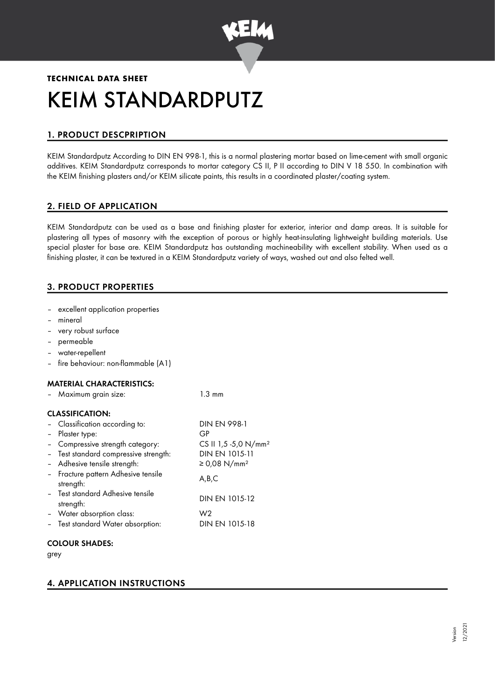

# **TECHNICAL DATA SHEET** KEIM STANDARDPUTZ

# 1. PRODUCT DESCPRIPTION

KEIM Standardputz According to DIN EN 998-1, this is a normal plastering mortar based on lime-cement with small organic additives. KEIM Standardputz corresponds to mortar category CS II, P II according to DIN V 18 550. In combination with the KEIM finishing plasters and/or KEIM silicate paints, this results in a coordinated plaster/coating system.

# 2. FIELD OF APPLICATION

KEIM Standardputz can be used as a base and finishing plaster for exterior, interior and damp areas. It is suitable for plastering all types of masonry with the exception of porous or highly heat-insulating lightweight building materials. Use special plaster for base are. KEIM Standardputz has outstanding machineability with excellent stability. When used as a finishing plaster, it can be textured in a KEIM Standardputz variety of ways, washed out and also felted well.

# 3. PRODUCT PROPERTIES

- excellent application properties
- mineral
- very robust surface
- permeable
- water-repellent
- fire behaviour: non-flammable (A1)

## MATERIAL CHARACTERISTICS:

| Maximum grain size:                              | 1.3 mm                           |
|--------------------------------------------------|----------------------------------|
| <b>CLASSIFICATION:</b>                           |                                  |
| - Classification according to:                   | <b>DIN EN 998-1</b>              |
| - Plaster type:                                  | GP                               |
| - Compressive strength category:                 | CS II 1,5 -5,0 N/mm <sup>2</sup> |
| - Test standard compressive strength:            | DIN EN 1015-11                   |
| - Adhesive tensile strength:                     | ≥ 0,08 N/mm <sup>2</sup>         |
| - Fracture pattern Adhesive tensile<br>strength: | A,B,C                            |
| - Test standard Adhesive tensile<br>strength:    | DIN EN 1015-12                   |
| - Water absorption class:                        | W2                               |
| - Test standard Water absorption:                | DIN EN 1015-18                   |
|                                                  |                                  |

# COLOUR SHADES:

grey

# 4. APPLICATION INSTRUCTIONS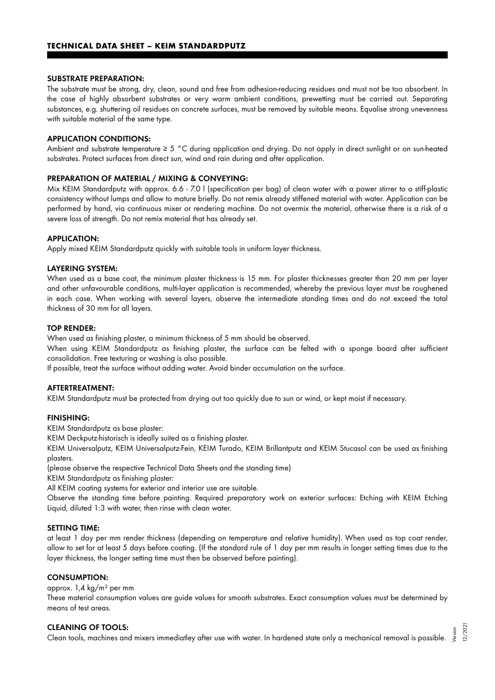#### SUBSTRATE PREPARATION:

The substrate must be strong, dry, clean, sound and free from adhesion-reducing residues and must not be too absorbent. In the case of highly absorbent substrates or very warm ambient conditions, prewetting must be carried out. Separating substances, e.g. shuttering oil residues on concrete surfaces, must be removed by suitable means. Equalise strong unevenness with suitable material of the same type.

#### APPLICATION CONDITIONS:

Ambient and substrate temperature ≥ 5 °C during application and drying. Do not apply in direct sunlight or on sun-heated substrates. Protect surfaces from direct sun, wind and rain during and after application.

#### PREPARATION OF MATERIAL / MIXING & CONVEYING:

Mix KEIM Standardputz with approx. 6.6 - 7.0 l (specification per bag) of clean water with a power stirrer to a stiff-plastic consistency without lumps and allow to mature briefly. Do not remix already stiffened material with water. Application can be performed by hand, via continuous mixer or rendering machine. Do not overmix the material, otherwise there is a risk of a severe loss of strength. Do not remix material that has already set.

#### APPLICATION:

Apply mixed KEIM Standardputz quickly with suitable tools in uniform layer thickness.

#### LAYERING SYSTEM:

When used as a base coat, the minimum plaster thickness is 15 mm. For plaster thicknesses greater than 20 mm per layer and other unfavourable conditions, multi-layer application is recommended, whereby the previous layer must be roughened in each case. When working with several layers, observe the intermediate standing times and do not exceed the total thickness of 30 mm for all layers.

#### TOP RENDER:

When used as finishing plaster, a minimum thickness of 5 mm should be observed.

When using KEIM Standardputz as finishing plaster, the surface can be felted with a sponge board after sufficient consolidation. Free texturing or washing is also possible.

If possible, treat the surface without adding water. Avoid binder accumulation on the surface.

#### AFTERTREATMENT:

KEIM Standardputz must be protected from drying out too quickly due to sun or wind, or kept moist if necessary.

#### FINISHING:

KEIM Standardputz as base plaster:

KEIM Deckputz-historisch is ideally suited as a finishing plaster.

KEIM Universalputz, KEIM Universalputz-Fein, KEIM Turado, KEIM Brillantputz and KEIM Stucasol can be used as finishing plasters.

(please observe the respective Technical Data Sheets and the standing time)

KEIM Standardputz as finishing plaster:

All KEIM coating systems for exterior and interior use are suitable.

Observe the standing time before painting. Required preparatory work on exterior surfaces: Etching with KEIM Etching Liquid, diluted 1:3 with water, then rinse with clean water.

#### SETTING TIME:

at least 1 day per mm render thickness (depending on temperature and relative humidity). When used as top coat render, allow to set for at least 5 days before coating. (If the standard rule of 1 day per mm results in longer setting times due to the layer thickness, the longer setting time must then be observed before painting).

## CONSUMPTION:

## approx. 1,4 kg/m² per mm

These material consumption values are guide values for smooth substrates. Exact consumption values must be determined by means of test areas.

#### CLEANING OF TOOLS:

Clean tools, machines and mixers immediatley after use with water. In hardened state only a mechanical removal is possible. Version